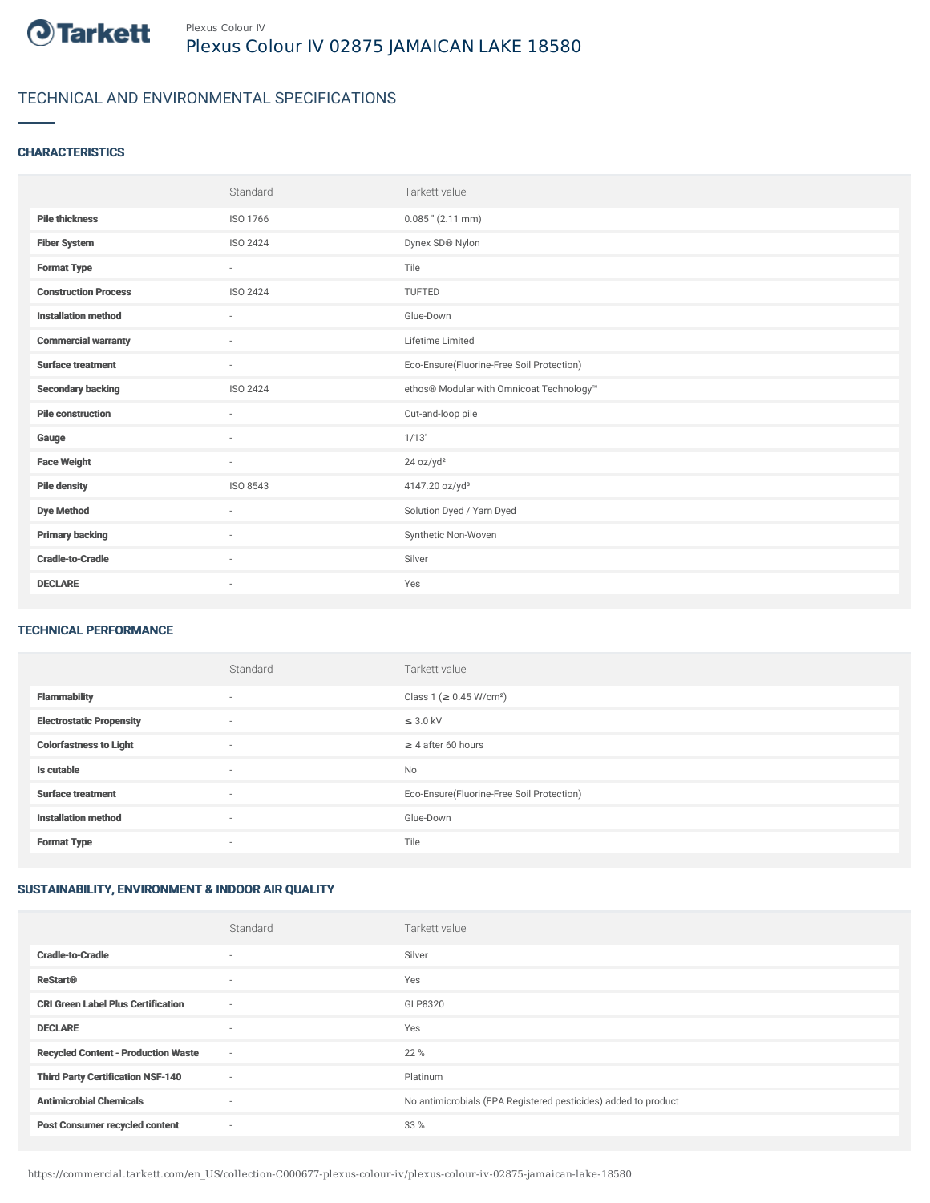

# TECHNICAL AND ENVIRONMENTAL SPECIFICATIONS

### **CHARACTERISTICS**

|                             | Standard                 | Tarkett value                             |
|-----------------------------|--------------------------|-------------------------------------------|
| <b>Pile thickness</b>       | ISO 1766                 | $0.085$ " (2.11 mm)                       |
| <b>Fiber System</b>         | ISO 2424                 | Dynex SD® Nylon                           |
| <b>Format Type</b>          | $\sim$                   | Tile                                      |
| <b>Construction Process</b> | ISO 2424                 | <b>TUFTED</b>                             |
| <b>Installation method</b>  | $\overline{\phantom{a}}$ | Glue-Down                                 |
| <b>Commercial warranty</b>  | $\sim$                   | Lifetime Limited                          |
| <b>Surface treatment</b>    | $\sim$                   | Eco-Ensure(Fluorine-Free Soil Protection) |
| <b>Secondary backing</b>    | ISO 2424                 | ethos® Modular with Omnicoat Technology™  |
| <b>Pile construction</b>    | $\sim$                   | Cut-and-loop pile                         |
| Gauge                       | ٠                        | 1/13"                                     |
| <b>Face Weight</b>          | $\overline{\phantom{a}}$ | 24 oz/yd <sup>2</sup>                     |
| <b>Pile density</b>         | ISO 8543                 | 4147.20 oz/yd <sup>3</sup>                |
| <b>Dye Method</b>           | ٠                        | Solution Dyed / Yarn Dyed                 |
| <b>Primary backing</b>      | $\sim$                   | Synthetic Non-Woven                       |
| <b>Cradle-to-Cradle</b>     | $\sim$                   | Silver                                    |
| <b>DECLARE</b>              | ٠                        | Yes                                       |

#### TECHNICAL PERFORMANCE

|                                 | Standard                 | Tarkett value                             |
|---------------------------------|--------------------------|-------------------------------------------|
| <b>Flammability</b>             | $\overline{\phantom{a}}$ | Class 1 ( $\geq$ 0.45 W/cm <sup>2</sup> ) |
| <b>Electrostatic Propensity</b> | ٠                        | $\leq$ 3.0 kV                             |
| <b>Colorfastness to Light</b>   | $\overline{\phantom{a}}$ | $\geq 4$ after 60 hours                   |
| Is cutable                      | $\overline{\phantom{a}}$ | No                                        |
| <b>Surface treatment</b>        | ٠                        | Eco-Ensure(Fluorine-Free Soil Protection) |
| <b>Installation method</b>      | $\overline{\phantom{a}}$ | Glue-Down                                 |
| <b>Format Type</b>              | $\overline{\phantom{a}}$ | Tile                                      |

## SUSTAINABILITY, ENVIRONMENT & INDOOR AIR QUALITY

|                                            | Standard                 | Tarkett value                                                  |
|--------------------------------------------|--------------------------|----------------------------------------------------------------|
| <b>Cradle-to-Cradle</b>                    | $\overline{\phantom{a}}$ | Silver                                                         |
| <b>ReStart®</b>                            | $\overline{\phantom{a}}$ | Yes                                                            |
| <b>CRI Green Label Plus Certification</b>  | $\sim$                   | GLP8320                                                        |
| <b>DECLARE</b>                             | $\overline{\phantom{a}}$ | Yes                                                            |
| <b>Recycled Content - Production Waste</b> | $\sim$                   | 22 %                                                           |
| <b>Third Party Certification NSF-140</b>   | $\sim$                   | Platinum                                                       |
| <b>Antimicrobial Chemicals</b>             | $\overline{\phantom{a}}$ | No antimicrobials (EPA Registered pesticides) added to product |
| <b>Post Consumer recycled content</b>      | ٠                        | 33 %                                                           |